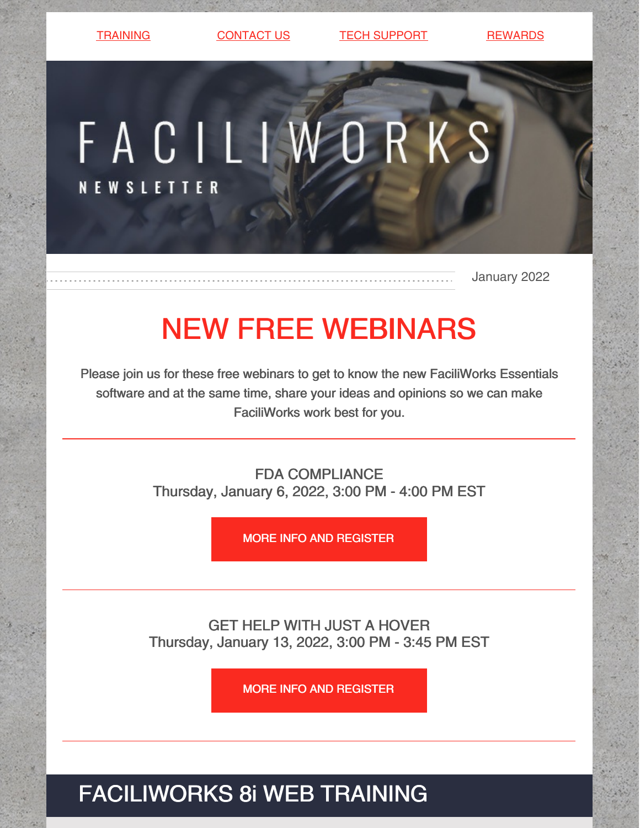[TRAINING](https://faciliworks.com/training-schedule/) [CONTACT](https://faciliworks.com/contact-us/) US TECH [SUPPORT](https://faciliworks.com/support/) [REWARDS](https://cybermetrics.com/referral-rewards/)

FACILIWORKS **NEWSLETTER** 

January 2022

## NEW FREE WEBINARS

Please join us for these free webinars to get to know the new FaciliWorks Essentials software and at the same time, share your ideas and opinions so we can make FaciliWorks work best for you.

> FDA COMPLIANCE Thursday, January 6, 2022, 3:00 PM - 4:00 PM EST

> > MORE INFO AND [REGISTER](https://register.gotowebinar.com/register/5458650140309929997)

GET HELP WITH JUST A HOVER Thursday, January 13, 2022, 3:00 PM - 3:45 PM EST

MORE INFO AND [REGISTER](https://register.gotowebinar.com/register/1355953343169338893)

FACILIWORKS 8i WEB TRAINING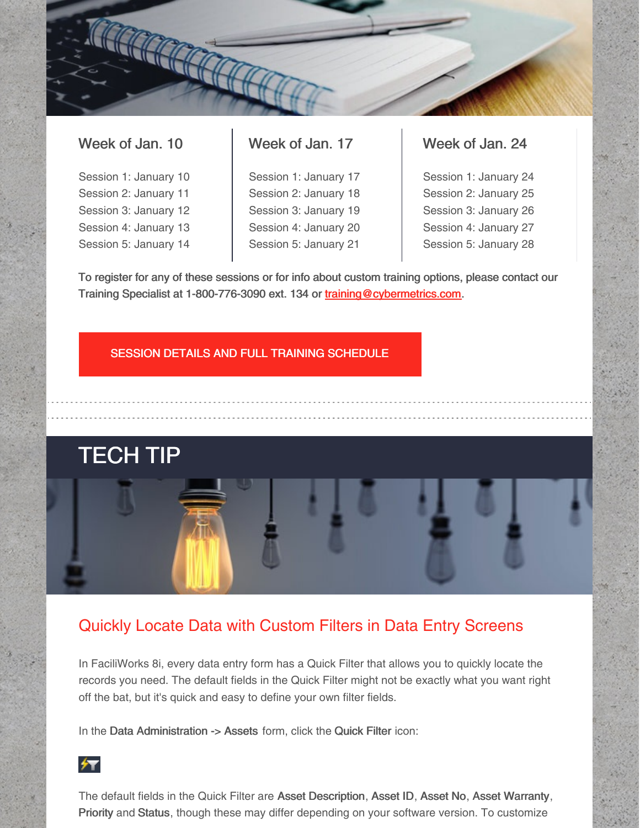### Week of Jan. 10

Session 1: January 10 Session 2: January 11 Session 3: January 12 Session 4: January 13 Session 5: January 14

## Week of Jan. 17

Session 1: January 17 Session 2: January 18 Session 3: January 19 Session 4: January 20 Session 5: January 21

### Week of Jan. 24

Session 1: January 24 Session 2: January 25 Session 3: January 26 Session 4: January 27 Session 5: January 28

To register for any of these sessions or for info about custom training options, please contact our Training Specialist at 1-800-776-3090 ext. 134 or [training@cybermetrics.com.](mailto:training@cybermetrics.com)

#### SESSION DETAILS AND FULL TRAINING [SCHEDULE](https://faciliworks.com/training-schedule/#web_training)

# **TECH TIP**

### Quickly Locate Data with Custom Filters in Data Entry Screens

In FaciliWorks 8i, every data entry form has a Quick Filter that allows you to quickly locate the records you need. The default fields in the Quick Filter might not be exactly what you want right off the bat, but it's quick and easy to define your own filter fields.

In the Data Administration -> Assets form, click the Quick Filter icon:



The default fields in the Quick Filter are Asset Description, Asset ID, Asset No, Asset Warranty, Priority and Status, though these may differ depending on your software version. To customize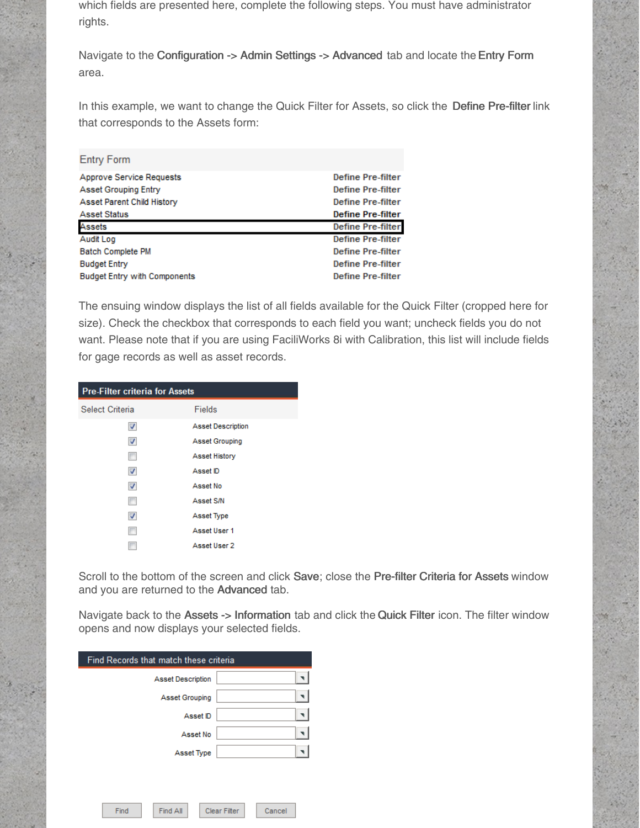which fields are presented here, complete the following steps. You must have administrator rights.

Navigate to the Configuration -> Admin Settings -> Advanced tab and locate the Entry Form area.

In this example, we want to change the Quick Filter for Assets, so click the Define Pre-filter link that corresponds to the Assets form:

| <b>Entry Form</b>           |                          |
|-----------------------------|--------------------------|
| Approve Service Requests    | <b>Define Pre-filter</b> |
| <b>Asset Grouping Entry</b> | <b>Define Pre-filter</b> |
| Asset Parent Child History  | <b>Define Pre-filter</b> |
| <b>Asset Status</b>         | <b>Define Pre-filter</b> |
|                             |                          |
| Assets                      | <b>Define Pre-filter</b> |
| Audit Log                   | <b>Define Pre-filter</b> |
| <b>Batch Complete PM</b>    | <b>Define Pre-filter</b> |
| <b>Budget Entry</b>         | <b>Define Pre-filter</b> |

The ensuing window displays the list of all fields available for the Quick Filter (cropped here for size). Check the checkbox that corresponds to each field you want; uncheck fields you do not want. Please note that if you are using FaciliWorks 8i with Calibration, this list will include fields for gage records as well as asset records.

| <b>Pre-Filter criteria for Assets</b> |  |  |
|---------------------------------------|--|--|
| Fields                                |  |  |
| <b>Asset Description</b>              |  |  |
| Asset Grouping                        |  |  |
| Asset History                         |  |  |
| Asset ID                              |  |  |
| Asset No                              |  |  |
| Asset S/N                             |  |  |
| Asset Type                            |  |  |
| Asset User 1                          |  |  |
| Asset User 2                          |  |  |
|                                       |  |  |

Scroll to the bottom of the screen and click Save; close the Pre-filter Criteria for Assets window and you are returned to the Advanced tab.

Navigate back to the Assets -> Information tab and click the Quick Filter icon. The filter window opens and now displays your selected fields.

| Find Records that match these criteria |                               |
|----------------------------------------|-------------------------------|
| <b>Asset Description</b>               |                               |
| Asset Grouping                         |                               |
| Asset ID                               |                               |
| Asset No                               |                               |
| Asset Type                             |                               |
|                                        |                               |
|                                        |                               |
| <b>Find All</b><br>Find                | <b>Clear Filter</b><br>Cancel |